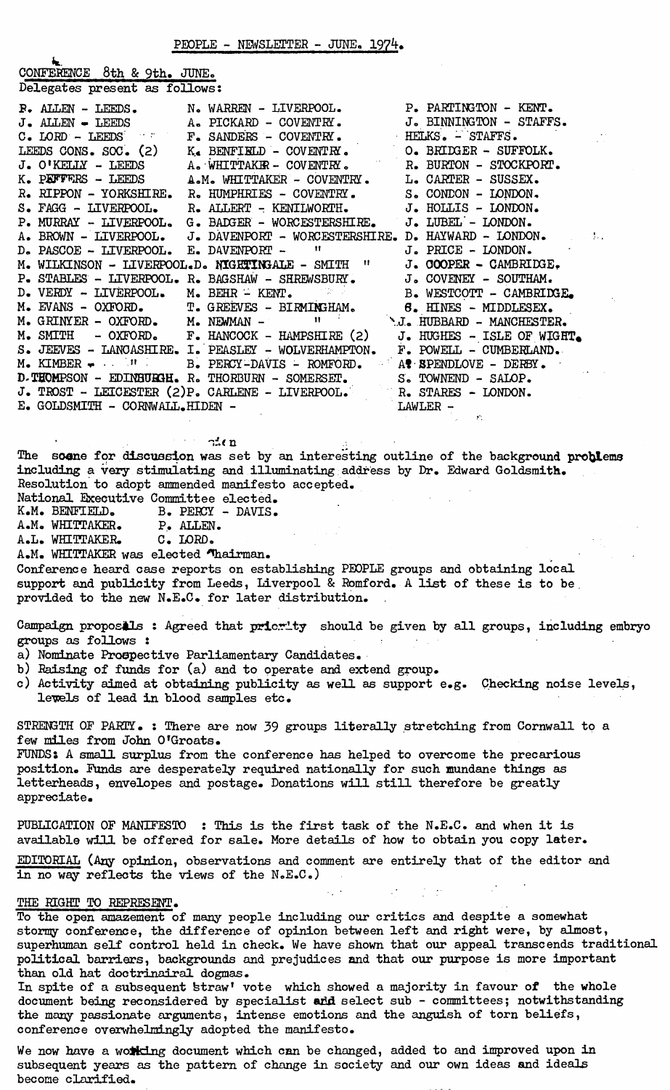CONFERENCE 8th & 9th. JUNE. Delegates present as follows:

|                                 | <b>P.</b> ALLEN - LEEDS. N. WARREN - LIVERPOOL. P. PARTINGTON - KENT.                                                                                                                                                                |                 |
|---------------------------------|--------------------------------------------------------------------------------------------------------------------------------------------------------------------------------------------------------------------------------------|-----------------|
|                                 |                                                                                                                                                                                                                                      |                 |
|                                 |                                                                                                                                                                                                                                      |                 |
|                                 | J. ALLEN - LEEDS A. PICKARD - COVENTRY. J. BINNINGTON - STAFFS.<br>C. LORD - LEEDS F. SANDERS - COVENTRY. HELKS. - STAFFS.<br>LEEDS CONS. SOC. (2) K. BENFIELD - COVENTRY. O. BRIDGER - SUFFOLK.                                     |                 |
|                                 | J. O'KELLY - LEEDS A. WHITTAKER - COVENTRY. R. BURTON - STOCKPORT.                                                                                                                                                                   |                 |
|                                 | K. PEFFERS - LEEDS A.M. WHITTAKER - COVENTRY. L. CARTER - SUSSEX.                                                                                                                                                                    |                 |
|                                 | R. RIPPON - YORKSHIRE. R. HUMPHRIES - COVENTRY. S. CONDON - LONDON.                                                                                                                                                                  |                 |
|                                 | S. FAGG - LIVERPOOL. R. ALLERT - KENILWORTH. J. HOLLIS - LONDON.                                                                                                                                                                     |                 |
|                                 | P. MURRAY - LIVERPOOL. G. BADGER - WORCESTERSHIRE. J. LUBEL - LONDON.                                                                                                                                                                |                 |
|                                 | A. BROWN - LIVERPOOL. J. DAVENPORT - WORCESTERSHIRE. D. HAYWARD - LONDON.                                                                                                                                                            |                 |
|                                 | $D_{\bullet}$ PASCOE - LIVERPOOL. E. DAVENPORT - $\qquad$ $\qquad$ J. PRICE - LONDON.                                                                                                                                                |                 |
|                                 | M. WILKINSON - LIVERPOOL.D. NIGHTINGALE - SMITH " J. COOPER - CAMBRIDGE.                                                                                                                                                             |                 |
|                                 | P. STABLES - LIVERPOOL. R. BAGSHAW - SHREWSBURY. J. COVENEY - SOUTHAM.<br>D. VERDY - LIVERPOOL. M. BEHR - KENT. B. WESTCOTT - CAMBRIDGE.<br>M. EVANS - OXFORD. T. GREEVES - BIRMINGHAM. 6. HINES - MIDDLESEX.<br>M. GRINYER - OXFORD |                 |
|                                 |                                                                                                                                                                                                                                      |                 |
|                                 |                                                                                                                                                                                                                                      |                 |
|                                 |                                                                                                                                                                                                                                      |                 |
|                                 | M. SMITH - OXFORD. F. HANCOCK - HAMPSHIRE (2) J. HUGHES - ISLE OF WIGHT.                                                                                                                                                             |                 |
|                                 | S. JEEVES - LANCASHIRE. I. PEASLEY - WOLVERHAMPTON. F. POWELL - CUMBERLAND.                                                                                                                                                          |                 |
|                                 | $M_{\bullet}$ KIMBER $\bullet$ $\cdot$ $\cdot$ $\cdot$ $\cdot$ B. PERCY-DAVIS - ROMFORD. A SPENDLOVE - DERBY.                                                                                                                        |                 |
|                                 | D-THOMPSON - EDINBURGH. R. THORBURN - SOMERSET. S. TOWNEND - SALOP.                                                                                                                                                                  |                 |
|                                 | J. TROST - LEICESTER (2)P. CARLENE - LIVERPOOL. R. STARES - LONDON.                                                                                                                                                                  |                 |
| E. GOLDSMITH - CORNWALL.HIDEN - | $\begin{array}{c}\n\text{LAWLER} \\ \end{array}$                                                                                                                                                                                     |                 |
|                                 |                                                                                                                                                                                                                                      | and the company |
|                                 |                                                                                                                                                                                                                                      |                 |

 $\mathbb{R}$  and  $\mathbb{R}$ 

The soene for discussion was set by an interesting outline of the background problems including a very stimulating and illuminating address by Dr. Edward Goldsmith, Resolution to adopt ammended manifesto accepted.

National Executive Committee elected.<br>K.M. BENFIELD. B. PERCY - DAVIS.

B. PERCY - DAVIS.<br>P. ALLEN. A.M. WHITTAKER.

A.L. WHITTAKER, C. LORD.

A.M. WHITTAKER was elected Thairman.

Conference heard case reports on establishing PEOPLE groups and obtaining local support and publicity from Leeds, Liverpool & Romford, A list of these is to be. provided to the new N.E,C, for later distribution.

Campaign proposals : Agreed that priority should be given by all groups, including embryo groups as follows :

a) Nominate Prospective Parliamentary Candidates,

- b) Raising of funds for (a) and to operate and extend group.
- c) Activity aimed at obtaining publicity as well as support e.g. Checking noise levels, lewels of lead in blood samples etc.

STRENGTH OF PARTY. : There are now 39 groups literally stretching from Cornwall to a few miles from John 0'Groats,

FUNDS: A small surplus from the conference has helped to overcome the precarious position. Funds are desperately required nationally for such mundane things as letterheads, envelopes and postage. Donations will still therefore be greatly appreciate.

PUBLICATION OF MANIFESTO : This is the first task of the N.E.C. and when it is available will be offered for sale. More details of how to obtain you copy later.

EDITORIAL (Any opinion, observations and comment are entirely that of the editor and in no way reflects the views of the N.E.C.)

## THE RIGHT TO REPRESENT.

To the open amazement of many people including our critics and despite a somewhat stormy conference, the difference of opinion between left and right were, by almost, superhuman self control held in check. We have shown that our appeal transcends traditional political barriers, backgrounds and prejudices and that our purpose is more important than old hat doctrinairal dogmas.

In spite of a subsequent straw' vote which showed a majority in favour of the whole document being reconsidered by specialist and select sub - committees; notwithstanding the many passionate arguments, intense emotions and the anguish of torn beliefs, conference overwhelmingly adopted the manifesto.

We now have a working document which can be changed, added to and improved upon in subsequent years as the pattern of change in society and our own ideas and ideals become clarified.